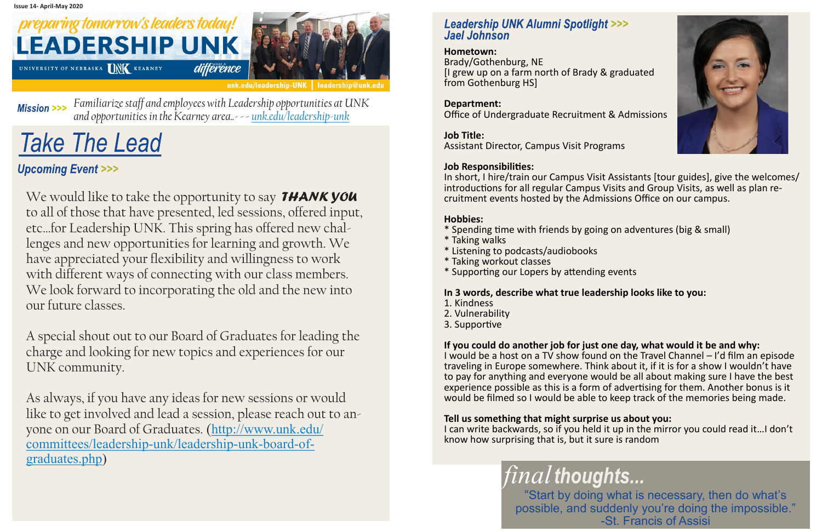### preparing tomorrow's leaders today! **LEADERSHIP UNK** différênce UNIVERSITY OF NEBRASKA UNK KEARNEY



#### **Hometown:**

Brady/Gothenburg, NE [I grew up on a farm north of Brady & graduated from Gothenburg HS]

#### **Department:**

Office of Undergraduate Recruitment & Admissions

#### **Job Title:**

Assistant Director, Campus Visit Programs

#### **Job Responsibilities:**

In short, I hire/train our Campus Visit Assistants [tour guides], give the welcomes/ introductions for all regular Campus Visits and Group Visits, as well as plan recruitment events hosted by the Admissions Office on our campus.

#### **Hobbies:**

- \* Spending time with friends by going on adventures (big & small)
- \* Taking walks
- \* Listening to podcasts/audiobooks
- \* Taking workout classes
- \* Supporting our Lopers by attending events

#### **In 3 words, describe what true leadership looks like to you:**

- 1. Kindness
- 2. Vulnerability
- 3. Supportive

#### **If you could do another job for just one day, what would it be and why:**

I would be a host on a TV show found on the Travel Channel – I'd film an episode traveling in Europe somewhere. Think about it, if it is for a show I wouldn't have to pay for anything and everyone would be all about making sure I have the best experience possible as this is a form of advertising for them. Another bonus is it would be filmed so I would be able to keep track of the memories being made.

We would like to take the opportunity to say **THANK YOU** to all of those that have presented, led sessions, offered input, etc…for Leadership UNK. This spring has offered new challenges and new opportunities for learning and growth. We have appreciated your flexibility and willingness to work with different ways of connecting with our class members. We look forward to incorporating the old and the new into our future classes.

#### **Tell us something that might surprise us about you:**

I can write backwards, so if you held it up in the mirror you could read it…I don't know how surprising that is, but it sure is random

> *final* "Start by doing what is necessary, then do what's possible, and suddenly you're doing the impossible." -St. Francis of Assisi



*Familiarize staff and employees with Leadership opportunities at UNK*  **Mission >>>** *and opportunities in the Kearney area..- - - [unk.edu/leadership-unk](http://www.unk.edu/leadership-unk)*

# **Take The Lead**

#### **Upcoming Event >>>**

A special shout out to our Board of Graduates for leading the charge and looking for new topics and experiences for our UNK community.

As always, if you have any ideas for new sessions or would like to get involved and lead a session, please reach out to anyone on our Board of Graduates. ([http://www.unk.edu/](http://www.unk.edu/committees/leadership-unk/leadership-unk-board-of-graduates.php) [committees/leadership](http://www.unk.edu/committees/leadership-unk/leadership-unk-board-of-graduates.php)-unk/leadership-unk-board-of[graduates.php\)](http://www.unk.edu/committees/leadership-unk/leadership-unk-board-of-graduates.php)

#### **Leadership UNK Alumni Spotlight >>> Jael Johnson**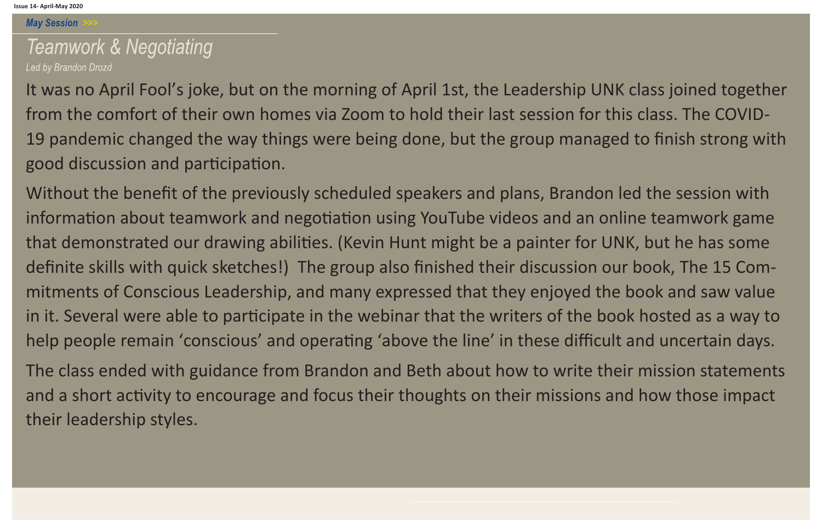**May Session** 

### **Teamwork & Negotiating** Led by Brandon Drozd

It was no April Fool's joke, but on the morning of April 1st, the Leadership UNK class joined together from the comfort of their own homes via Zoom to hold their last session for this class. The COVID-19 pandemic changed the way things were being done, but the group managed to finish strong with good discussion and participation.

Without the benefit of the previously scheduled speakers and plans, Brandon led the session with information about teamwork and negotiation using YouTube videos and an online teamwork game that demonstrated our drawing abilities. (Kevin Hunt might be a painter for UNK, but he has some definite skills with quick sketches!) The group also finished their discussion our book, The 15 Commitments of Conscious Leadership, and many expressed that they enjoyed the book and saw value in it. Several were able to participate in the webinar that the writers of the book hosted as a way to help people remain 'conscious' and operating 'above the line' in these difficult and uncertain days.

The class ended with guidance from Brandon and Beth about how to write their mission statements and a short activity to encourage and focus their thoughts on their missions and how those impact their leadership styles.